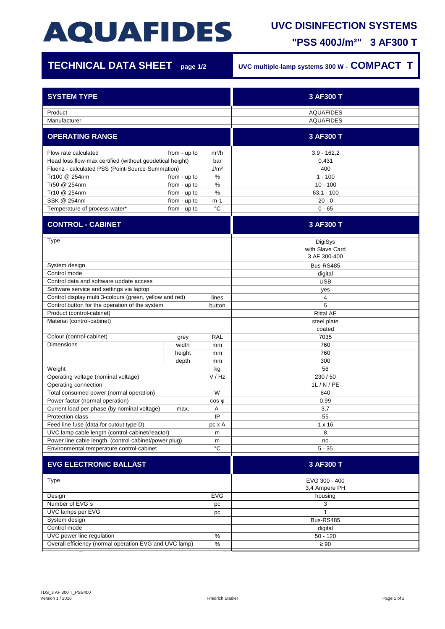# **AQUAFIDES**

### **UVC DISINFECTION SYSTEMS**

**"PSS 400J/m²" 3 AF300 T**

| <b>TECHNICAL DATA SHEET</b>                                          | page 1/2     | UVC multiple-lamp systems 300 W - COMPACT T |                            |
|----------------------------------------------------------------------|--------------|---------------------------------------------|----------------------------|
| <b>SYSTEM TYPE</b>                                                   |              |                                             | 3 AF300 T                  |
| Product                                                              |              |                                             | <b>AQUAFIDES</b>           |
| Manufacturer                                                         |              |                                             | <b>AQUAFIDES</b>           |
| <b>OPERATING RANGE</b>                                               |              |                                             | 3 AF300 T                  |
| Flow rate calculated                                                 | from - up to | m <sup>3</sup> /h                           | $3,9 - 162,2$              |
| Head loss flow-max certified (without geodetical height)<br>bar      |              |                                             | 0,431                      |
| Fluenz - calculated PSS (Point-Source-Summation)<br>J/m <sup>2</sup> |              |                                             | 400                        |
| Tr100 @ 254nm                                                        | from - up to | %                                           | $1 - 100$                  |
| Tr50 @ 254nm                                                         | from - up to | %                                           | $10 - 100$                 |
| Tr10 @ 254nm                                                         | from - up to | %                                           | $63.1 - 100$               |
| SSK @ 254nm                                                          | from - up to | $m-1$                                       | $20 - 0$                   |
| Temperature of process water*                                        | from - up to | °C                                          | $0 - 65$                   |
| <b>CONTROL - CABINET</b>                                             |              |                                             | 3 AF300 T                  |
| <b>Type</b>                                                          |              |                                             | DigiSys<br>with Slave Card |
|                                                                      |              |                                             | 3 AF 300-400               |
| System design                                                        |              |                                             | <b>Bus-RS485</b>           |
| Control mode                                                         |              |                                             | digital                    |
| Control data and software update access                              |              |                                             | <b>USB</b>                 |
| Software service and settings via laptop                             |              |                                             | yes                        |
| Control display multi 3-colours (green, yellow and red)<br>lines     |              |                                             | 4                          |
| Control button for the operation of the system                       |              | button                                      | 5                          |
| Product (control-cabinet)                                            |              |                                             | <b>Rittal AE</b>           |
| Material (control-cabinet)                                           |              |                                             | steel plate                |
|                                                                      |              |                                             | coated                     |
| Colour (control-cabinet)                                             | grey         | <b>RAL</b>                                  | 7035                       |
| <b>Dimensions</b>                                                    | width        | mm                                          | 760                        |
|                                                                      | height       | mm                                          | 760                        |
|                                                                      | depth        | mm                                          | 300                        |
| Weight                                                               |              | kg<br>V / Hz                                | 56<br>230/50               |
| Operating voltage (nominal voltage)<br>Operating connection          |              |                                             | 1L/N/PE                    |
| Total consumed power (normal operation)                              |              | W                                           | 840                        |
| Power factor (normal operation)<br>$cos \phi$                        |              |                                             | 0,99                       |
| Current load per phase (by nominal voltage)                          | max.         | Α                                           | 3,7                        |
| Protection class                                                     |              | IP                                          | 55                         |
| Feed line fuse (data for cutout type D)                              |              | pc x A                                      | $1 \times 16$              |
| UVC lamp cable length (control-cabinet/reactor)<br>m                 |              |                                             | 8                          |
| Power line cable length (control-cabinet/power plug)<br>m            |              |                                             | no                         |
| $^{\circ}{\rm C}$<br>Environmental temperature control-cabinet       |              |                                             | $5 - 35$                   |
| <b>EVG ELECTRONIC BALLAST</b>                                        |              |                                             | 3 AF300 T                  |
|                                                                      |              |                                             | EVG 300 - 400              |
| <b>Type</b>                                                          |              |                                             | 3,4 Ampere PH              |
| Design<br>EVG                                                        |              |                                             | housing                    |
| Number of EVG's<br>рc                                                |              |                                             | 3                          |
| UVC lamps per EVG<br>pc                                              |              |                                             | 1                          |
| System design                                                        |              |                                             | Bus-RS485                  |
| Control mode                                                         |              |                                             | digital                    |
| UVC power line regulation<br>$\%$                                    |              |                                             | $50 - 120$                 |
| Overall efficiency (normal operation EVG and UVC lamp)<br>$\%$       |              |                                             | $\geq 90$                  |